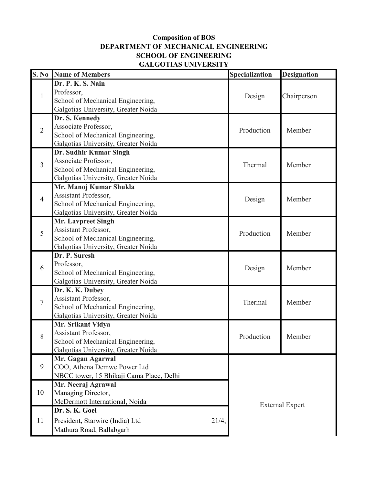## **SCHOOL OF ENGINEERING Composition of BOS DEPARTMENT OF MECHANICAL ENGINEERING GALGOTIAS UNIVERSITY**

|                | <b>S. No</b> Name of Members             | Specialization         | <b>Designation</b> |
|----------------|------------------------------------------|------------------------|--------------------|
| 1              | Dr. P. K. S. Nain                        | Design                 | Chairperson        |
|                | Professor,                               |                        |                    |
|                | School of Mechanical Engineering,        |                        |                    |
|                | Galgotias University, Greater Noida      |                        |                    |
| $\overline{2}$ | Dr. S. Kennedy                           | Production             | Member             |
|                | Associate Professor,                     |                        |                    |
|                | School of Mechanical Engineering,        |                        |                    |
|                | Galgotias University, Greater Noida      |                        |                    |
| $\overline{3}$ | Dr. Sudhir Kumar Singh                   | Thermal                | Member             |
|                | Associate Professor,                     |                        |                    |
|                | School of Mechanical Engineering,        |                        |                    |
|                | Galgotias University, Greater Noida      |                        |                    |
| $\overline{4}$ | Mr. Manoj Kumar Shukla                   | Design                 | Member             |
|                | Assistant Professor,                     |                        |                    |
|                | School of Mechanical Engineering,        |                        |                    |
|                | Galgotias University, Greater Noida      |                        |                    |
|                | <b>Mr. Lavpreet Singh</b>                |                        | Member             |
| 5              | Assistant Professor,                     | Production             |                    |
|                | School of Mechanical Engineering,        |                        |                    |
|                | Galgotias University, Greater Noida      |                        |                    |
|                | Dr. P. Suresh                            | Design                 | Member             |
| 6              | Professor,                               |                        |                    |
|                | School of Mechanical Engineering,        |                        |                    |
|                | Galgotias University, Greater Noida      |                        |                    |
|                | Dr. K. K. Dubey<br>Assistant Professor,  | Thermal                | Member             |
| 7              | School of Mechanical Engineering,        |                        |                    |
|                | Galgotias University, Greater Noida      |                        |                    |
|                | Mr. Srikant Vidya                        |                        |                    |
| 8              | Assistant Professor,                     | Production             | Member             |
|                | School of Mechanical Engineering.        |                        |                    |
|                | Galgotias University, Greater Noida      |                        |                    |
|                | Mr. Gagan Agarwal                        |                        |                    |
| 9              | COO, Athena Demwe Power Ltd              |                        |                    |
|                | NBCC tower, 15 Bhikaji Cama Place, Delhi | <b>External Expert</b> |                    |
| 10             | Mr. Neeraj Agrawal                       |                        |                    |
|                | Managing Director,                       |                        |                    |
|                | McDermott International, Noida           |                        |                    |
| 11             | Dr. S. K. Goel                           |                        |                    |
|                | President, Starwire (India) Ltd<br>21/4, |                        |                    |
|                |                                          |                        |                    |
|                | Mathura Road, Ballabgarh                 |                        |                    |